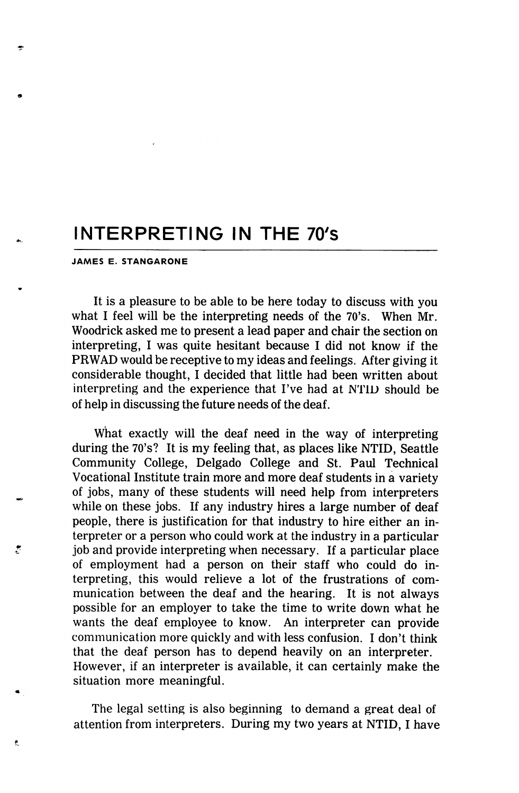## INTERPRETING IN THE 70's

## JAMES E. STANGARONE

P.

It is a pleasure to be able to be here today to discuss with you what I feel will be the interpreting needs of the 70's. When Mr. Woodrick asked me to present a lead paper and chair the section on interpreting, I was quite hesitant because I did not know if the PRWAD would be receptive to my ideas and feelings. After giving it considerable thought, I decided that little had been written about interpreting and the experience that I've had at NTID should be of help in discussing the future needs of the deaf.

What exactly will the deaf need in the way of interpreting during the 70's? It is my feeling that, as places like NTID, Seattle Community College, Delgado College and St. Paul Technical Vocational Institute train more and more deaf students in a variety of jobs, many of these students will need help from interpreters while on these jobs. If any industry hires a large number of deaf people, there is justification for that industry to hire either an in terpreter or a person who could work at the industry in a particular job and provide interpreting when necessary. If a particular place of employment had a person on their staff who could do in terpreting, this would relieve a lot of the frustrations of com munication between the deaf and the hearing. It is not always possible for an employer to take the time to write down what he wants the deaf employee to know. An interpreter can provide communication more quickly and with less confusion. I don't think that the deaf person has to depend heavily on an interpreter. However, if an interpreter is available, it can certainly make the situation more meaningful.

The legal setting is also beginning to demand a great deal of attention from interpreters. During my two years at NTID, I have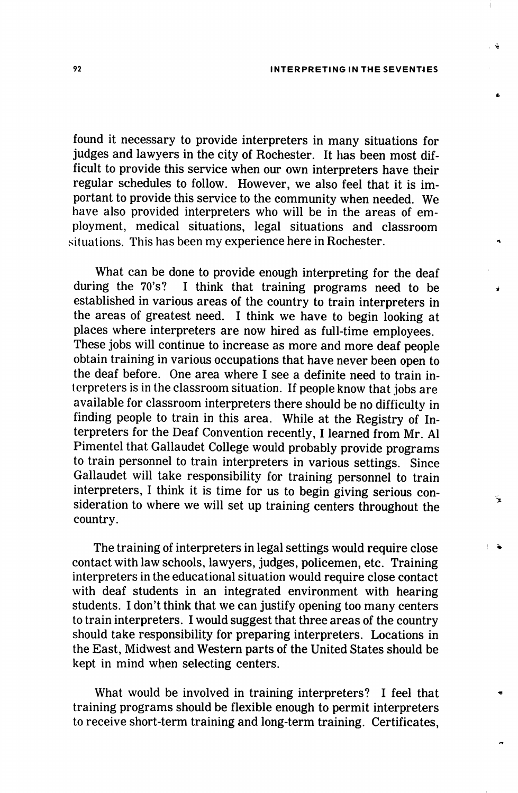found it necessary to provide interpreters in many situations for judges and lawyers in the city of Rochester. It has been most dif ficult to provide this service when our own interpreters have their regular schedules to follow. However, we also feel that it is im portant to provide this service to the community when needed. We have also provided interpreters who will be in the areas of em ployment, medical situations, legal situations and classroom .situations. This has been my experience here in Rochester.

What can be done to provide enough interpreting for the deaf during the 70's? I think that training programs need to be established in various areas of the country to train interpreters in the areas of greatest need. I think we have to begin looking at places where interpreters are now hired as full-time employees. These jobs will continue to increase as more and more deaf people obtain training in various occupations that have never been open to the deaf before. One area where I see a definite need to train in terpreters is in the classroom situation. If people know that jobs are available for classroom interpreters there should he no difficulty in finding people to train in this area. While at the Registry of In terpreters for the Deaf Convention recently, I learned from Mr. A1 Pimentel that Gallaudet College would probably provide programs to train personnel to train interpreters in various settings. Since Gallaudet will take responsibility for training personnel to train interpreters, I think it is time for us to begin giving serious con sideration to where we will set up training centers throughout the country.

The training of interpreters in legal settings would require close contact with law schools, lawyers, judges, policemen, etc. Training interpreters in the educational situation would require close contact with deaf students in an integrated environment with hearing students. I don't think that we can justify opening too many centers to train interpreters. I would suggest that three areas of the country should take responsibility for preparing interpreters. Locations in the East, Midwest and Western parts of the United States should be kept in mind when selecting centers.

What would be involved in training interpreters? I feel that training programs should be flexible enough to permit interpreters to receive short-term training and long-term training. Certificates,

٠.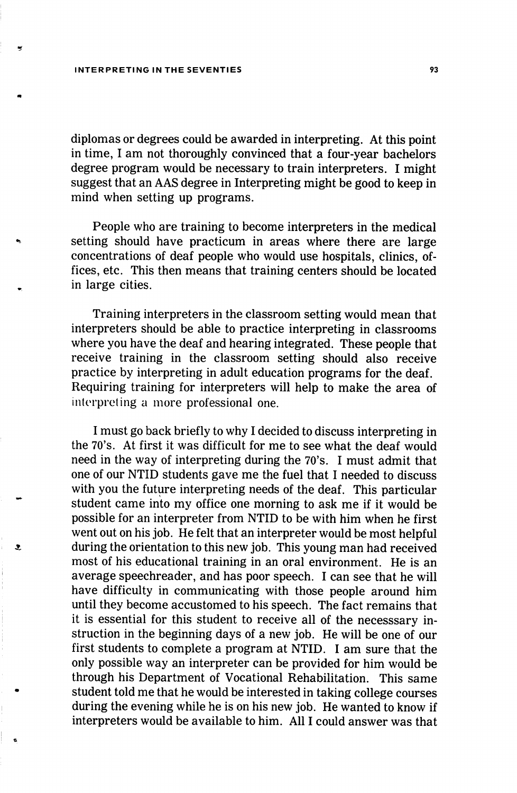INTERPRETING IN THE SEVENTIES 6 23

ż,

diplomas or degrees could be awarded in interpreting. At this point in time, I am not thoroughly convinced that a four-year bachelors degree program would be necessary to train interpreters. I might suggest that an AAS degree in Interpreting might be good to keep in mind when setting up programs.

People who are training to become interpreters in the medical setting should have practicum in areas where there are large concentrations of deaf people who would use hospitals, clinics, of fices, etc. This then means that training centers should be located in large cities.

Training interpreters in the classroom setting would mean that interpreters should be able to practice interpreting in classrooms where you have the deaf and hearing integrated. These people that receive training in the classroom setting should also receive practice by interpreting in adult education programs for the deaf. Requiring training for interpreters will help to make the area of interpreting a more professional one.

I must go back briefly to why I decided to discuss interpreting in the 70's. At first it was difficult for me to see what the deaf would need in the way of interpreting during the 70's. I must admit that one of our NTID students gave me the fuel that I needed to discuss with you the future interpreting needs of the deaf. This particular student came into my office one morning to ask me if it would be possible for an interpreter from NTID to be with him when he first went out on his job. He felt that an interpreter would be most helpful during the orientation to this new job. This young man had received most of his educational training in an oral environment. He is an average speechreader, and has poor speech. I can see that he will have difficulty in communicating with those people around him until they become accustomed to his speech. The fact remains that it is essential for this student to receive all of the necesssary in struction in the beginning days of a new job. He will be one of our first students to complete a program at NTID. I am sure that the only possible way an interpreter can be provided for him would be through his Department of Vocational Rehabilitation. This same student told me that he would be interested in taking college courses during the evening while he is on his new job. He wanted to know if interpreters would be available to him. All I could answer was that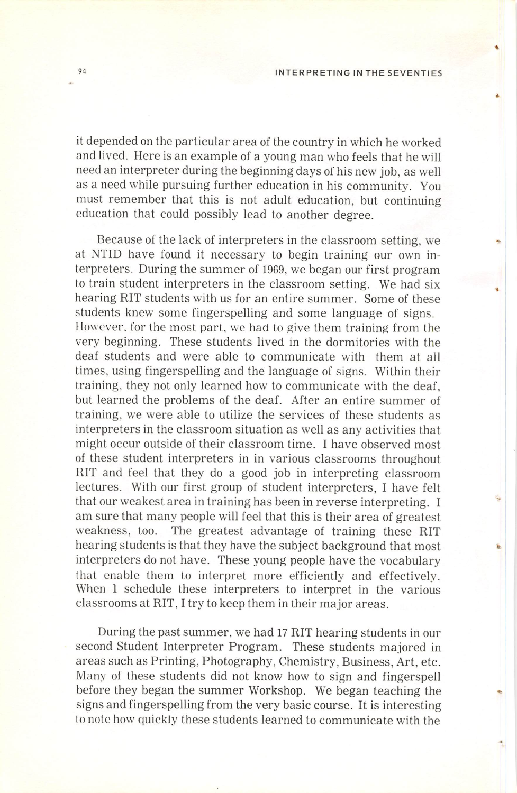it depended on the particular area of the country in which he worked and lived. Here is an example of a young man who feels that he will need an interpreter during the beginning days of his new job, as well as a need while pursuing further education in his community. You must remember that this is not adult education, but continuing education that could possibly lead to another degree.

Because of the lack of interpreters in the classroom setting, we at NTID have found it necessary to begin training our own in terpreters. During the summer of 1969, we began our first program to train student interpreters in the classroom setting. We had six hearing RIT students with us for an entire summer. Some of these students knew some fingerspelling and some language of signs. However, for the most part, we had to give them training from the very beginning. These students lived in the dormitories with the deaf students and were able to communicate with them at all times, using fingerspelling and the language of signs. Within their training, they not only learned how to communicate with the deaf, but learned the problems of the deaf. After an entire summer of training, we were able to utilize the services of these students as interpreters in the classroom situation as well as any activities that might occur outside of their classroom time. I have observed most of these student interpreters in in various classrooms throughout RIT and feel that they do a good job in interpreting classroom lectures. With our first group of student interpreters, I have felt that our weakest area in training has been in reverse interpreting. I am sure that many people will feel that this is their area of greatest weakness, too. The greatest advantage of training these RIT hearing students is that they have the subject background that most interpreters do not have. These young people have the vocabulary that enable them to interpret more efficiently and effectively. When 1 schedule these interpreters to interpret in the various classrooms at RIT, I try to keep them in their major areas.

During the past summer, we had 17 RIT hearing students in our second Student Interpreter Program. These students majored in areas such as Printing, Photography, Chemistry, Business, Art, etc. Many of these students did not know how to sign and fingerspell before they began the summer Workshop. We began teaching the signs and fingerspelling from the very basic course. It is interesting to note how quickly these students learned to communicate with the